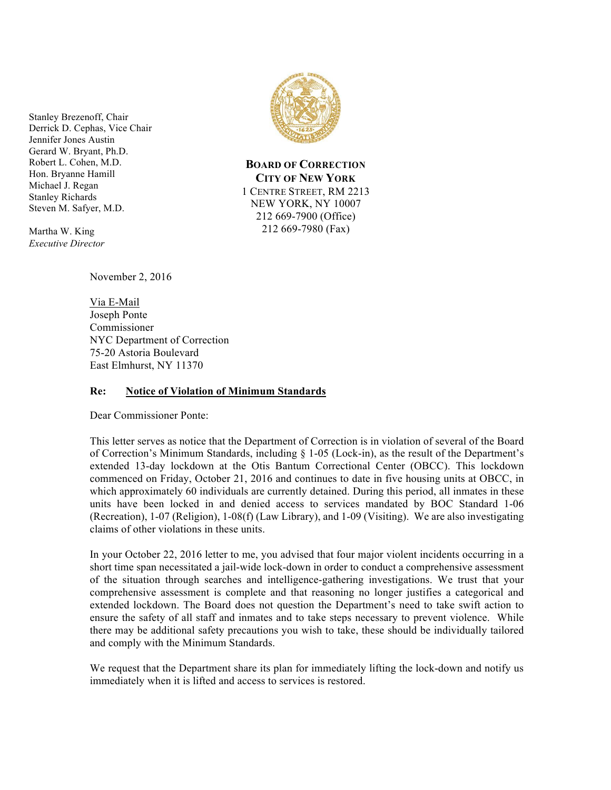Stanley Brezenoff, Chair Derrick D. Cephas, Vice Chair Jennifer Jones Austin Gerard W. Bryant, Ph.D. Robert L. Cohen, M.D. Hon. Bryanne Hamill Michael J. Regan Stanley Richards Steven M. Safyer, M.D.

Martha W. King *Executive Director*



Via E-Mail Joseph Ponte Commissioner NYC Department of Correction 75-20 Astoria Boulevard East Elmhurst, NY 11370

## **Re: Notice of Violation of Minimum Standards**

Dear Commissioner Ponte:

This letter serves as notice that the Department of Correction is in violation of several of the Board of Correction's Minimum Standards, including § 1-05 (Lock-in), as the result of the Department's extended 13-day lockdown at the Otis Bantum Correctional Center (OBCC). This lockdown commenced on Friday, October 21, 2016 and continues to date in five housing units at OBCC, in which approximately 60 individuals are currently detained. During this period, all inmates in these units have been locked in and denied access to services mandated by BOC Standard 1-06 (Recreation), 1-07 (Religion), 1-08(f) (Law Library), and 1-09 (Visiting). We are also investigating claims of other violations in these units.

In your October 22, 2016 letter to me, you advised that four major violent incidents occurring in a short time span necessitated a jail-wide lock-down in order to conduct a comprehensive assessment of the situation through searches and intelligence-gathering investigations. We trust that your comprehensive assessment is complete and that reasoning no longer justifies a categorical and extended lockdown. The Board does not question the Department's need to take swift action to ensure the safety of all staff and inmates and to take steps necessary to prevent violence. While there may be additional safety precautions you wish to take, these should be individually tailored and comply with the Minimum Standards.

We request that the Department share its plan for immediately lifting the lock-down and notify us immediately when it is lifted and access to services is restored.



**BOARD OF CORRECTION CITY OF NEW YORK** 1 CENTRE STREET, RM 2213 NEW YORK, NY 10007 212 669-7900 (Office) 212 669-7980 (Fax)